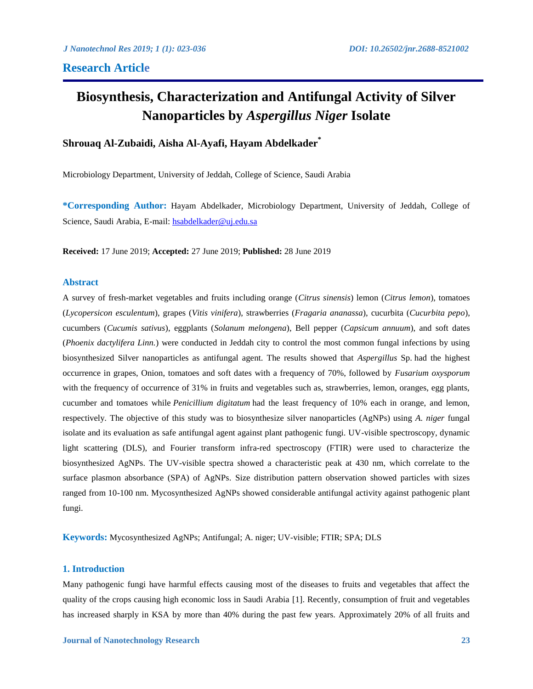# **Research Article**

# **Biosynthesis, Characterization and Antifungal Activity of Silver Nanoparticles by** *Aspergillus Niger* **Isolate**

# **Shrouaq Al-Zubaidi, Aisha Al-Ayafi, Hayam Abdelkader\***

Microbiology Department, University of Jeddah, College of Science, Saudi Arabia

**\*Corresponding Author:** Hayam Abdelkader, Microbiology Department, University of Jeddah, College of Science, Saudi Arabia, E-mail:<hsabdelkader@uj.edu.sa>

**Received:** 17 June 2019; **Accepted:** 27 June 2019; **Published:** 28 June 2019

### **Abstract**

A survey of fresh-market vegetables and fruits including orange (*Citrus sinensis*) lemon (*Citrus lemon*), tomatoes (*Lycopersicon esculentum*), grapes (*Vitis vinifera*), strawberries (*Fragaria ananassa*), cucurbita (*Cucurbita pepo*), cucumbers (*Cucumis sativus*), eggplants (*Solanum melongena*), Bell pepper (*Capsicum annuum*), and soft dates (*Phoenix dactylifera Linn.*) were conducted in Jeddah city to control the most common fungal infections by using biosynthesized Silver nanoparticles as antifungal agent. The results showed that *Aspergillus* Sp. had the highest occurrence in grapes, Onion, tomatoes and soft dates with a frequency of 70%, followed by *Fusarium oxysporum* with the frequency of occurrence of 31% in fruits and vegetables such as, strawberries, lemon, oranges, egg plants, cucumber and tomatoes while *Penicillium digitatum* had the least frequency of 10% each in orange, and lemon, respectively. The objective of this study was to biosynthesize silver nanoparticles (AgNPs) using *A. niger* fungal isolate and its evaluation as safe antifungal agent against plant pathogenic fungi. UV-visible spectroscopy, dynamic light scattering (DLS), and Fourier transform infra-red spectroscopy (FTIR) were used to characterize the biosynthesized AgNPs. The UV-visible spectra showed a characteristic peak at 430 nm, which correlate to the surface plasmon absorbance (SPA) of AgNPs. Size distribution pattern observation showed particles with sizes ranged from 10-100 nm. Mycosynthesized AgNPs showed considerable antifungal activity against pathogenic plant fungi.

**Keywords:** Mycosynthesized AgNPs; Antifungal; A. niger; UV-visible; FTIR; SPA; DLS

## **1. Introduction**

Many pathogenic fungi have harmful effects causing most of the diseases to fruits and vegetables that affect the quality of the crops causing high economic loss in Saudi Arabia [1]. Recently, consumption of fruit and vegetables has increased sharply in KSA by more than 40% during the past few years. Approximately 20% of all fruits and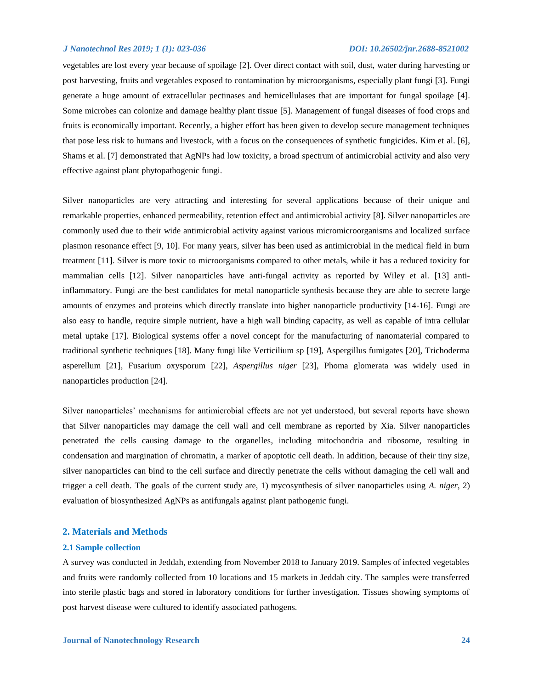vegetables are lost every year because of spoilage [2]. Over direct contact with soil, dust, water during harvesting or post harvesting, fruits and vegetables exposed to contamination by microorganisms, especially plant fungi [3]. Fungi generate a huge amount of extracellular pectinases and hemicellulases that are important for fungal spoilage [4]. Some microbes can colonize and damage healthy plant tissue [5]. Management of fungal diseases of food crops and fruits is economically important. Recently, a higher effort has been given to develop secure management techniques that pose less risk to humans and livestock, with a focus on the consequences of synthetic fungicides. Kim et al. [6], Shams et al. [7] demonstrated that AgNPs had low toxicity, a broad spectrum of antimicrobial activity and also very effective against plant phytopathogenic fungi.

Silver nanoparticles are very attracting and interesting for several applications because of their unique and remarkable properties, enhanced permeability, retention effect and antimicrobial activity [8]. Silver nanoparticles are commonly used due to their wide antimicrobial activity against various micromicroorganisms and localized surface plasmon resonance effect [9, 10]. For many years, silver has been used as antimicrobial in the medical field in burn treatment [11]. Silver is more toxic to microorganisms compared to other metals, while it has a reduced toxicity for mammalian cells [12]. Silver nanoparticles have anti-fungal activity as reported by Wiley et al. [13] antiinflammatory. Fungi are the best candidates for metal nanoparticle synthesis because they are able to secrete large amounts of enzymes and proteins which directly translate into higher nanoparticle productivity [14-16]. Fungi are also easy to handle, require simple nutrient, have a high wall binding capacity, as well as capable of intra cellular metal uptake [17]. Biological systems offer a novel concept for the manufacturing of nanomaterial compared to traditional synthetic techniques [18]. Many fungi like Verticilium sp [19], Aspergillus fumigates [20], Trichoderma asperellum [21], Fusarium oxysporum [22], *Aspergillus niger* [23], Phoma glomerata was widely used in nanoparticles production [24].

Silver nanoparticles' mechanisms for antimicrobial effects are not yet understood, but several reports have shown that Silver nanoparticles may damage the cell wall and cell membrane as reported by Xia. Silver nanoparticles penetrated the cells causing damage to the organelles, including mitochondria and ribosome, resulting in condensation and margination of chromatin, a marker of apoptotic cell death. In addition, because of their tiny size, silver nanoparticles can bind to the cell surface and directly penetrate the cells without damaging the cell wall and trigger a cell death. The goals of the current study are, 1) mycosynthesis of silver nanoparticles using *A. niger*, 2) evaluation of biosynthesized AgNPs as antifungals against plant pathogenic fungi.

### **2. Materials and Methods**

#### **2.1 Sample collection**

A survey was conducted in Jeddah, extending from November 2018 to January 2019. Samples of infected vegetables and fruits were randomly collected from 10 locations and 15 markets in Jeddah city. The samples were transferred into sterile plastic bags and stored in laboratory conditions for further investigation. Tissues showing symptoms of post harvest disease were cultured to identify associated pathogens.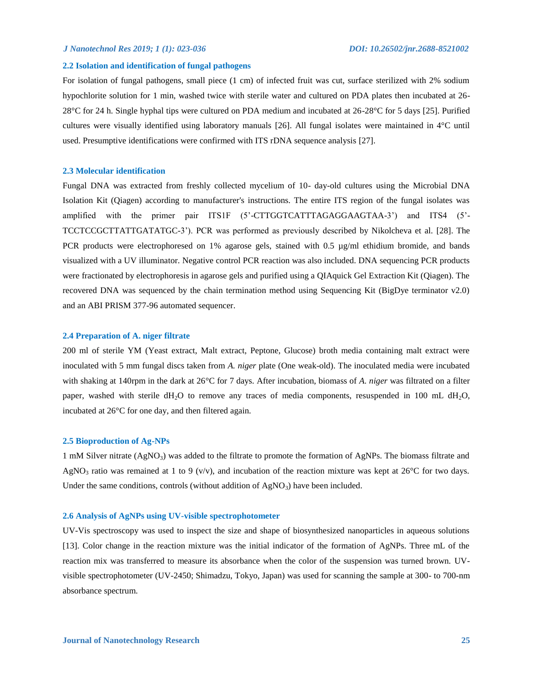#### **2.2 Isolation and identification of fungal pathogens**

For isolation of fungal pathogens, small piece (1 cm) of infected fruit was cut, surface sterilized with 2% sodium hypochlorite solution for 1 min, washed twice with sterile water and cultured on PDA plates then incubated at 26- 28°C for 24 h. Single hyphal tips were cultured on PDA medium and incubated at 26-28°C for 5 days [25]. Purified cultures were visually identified using laboratory manuals [26]. All fungal isolates were maintained in 4°C until used. Presumptive identifications were confirmed with ITS rDNA sequence analysis [27].

#### **2.3 Molecular identification**

Fungal DNA was extracted from freshly collected mycelium of 10- day-old cultures using the Microbial DNA Isolation Kit (Qiagen) according to manufacturer's instructions. The entire ITS region of the fungal isolates was amplified with the primer pair ITS1F (5'-CTTGGTCATTTAGAGGAAGTAA-3') and ITS4 (5'- TCCTCCGCTTATTGATATGC-3'). PCR was performed as previously described by Nikolcheva et al. [28]. The PCR products were electrophoresed on 1% agarose gels, stained with 0.5 µg/ml ethidium bromide, and bands visualized with a UV illuminator. Negative control PCR reaction was also included. DNA sequencing PCR products were fractionated by electrophoresis in agarose gels and purified using a QIAquick Gel Extraction Kit (Qiagen). The recovered DNA was sequenced by the chain termination method using Sequencing Kit (BigDye terminator v2.0) and an ABI PRISM 377-96 automated sequencer.

#### **2.4 Preparation of A. niger filtrate**

200 ml of sterile YM (Yeast extract, Malt extract, Peptone, Glucose) broth media containing malt extract were inoculated with 5 mm fungal discs taken from *A. niger* plate (One weak-old). The inoculated media were incubated with shaking at 140rpm in the dark at 26°C for 7 days. After incubation, biomass of *A. niger* was filtrated on a filter paper, washed with sterile  $dH_2O$  to remove any traces of media components, resuspended in 100 mL  $dH_2O$ , incubated at 26°C for one day, and then filtered again.

#### **2.5 Bioproduction of Ag-NPs**

1 mM Silver nitrate (AgNO<sub>3</sub>) was added to the filtrate to promote the formation of AgNPs. The biomass filtrate and AgNO<sub>3</sub> ratio was remained at 1 to 9 (v/v), and incubation of the reaction mixture was kept at 26<sup>o</sup>C for two days. Under the same conditions, controls (without addition of  $AgNO<sub>3</sub>$ ) have been included.

#### **2.6 Analysis of AgNPs using UV-visible spectrophotometer**

UV-Vis spectroscopy was used to inspect the size and shape of biosynthesized nanoparticles in aqueous solutions [13]. Color change in the reaction mixture was the initial indicator of the formation of AgNPs. Three mL of the reaction mix was transferred to measure its absorbance when the color of the suspension was turned brown. UVvisible spectrophotometer (UV-2450; Shimadzu, Tokyo, Japan) was used for scanning the sample at 300- to 700-nm absorbance spectrum.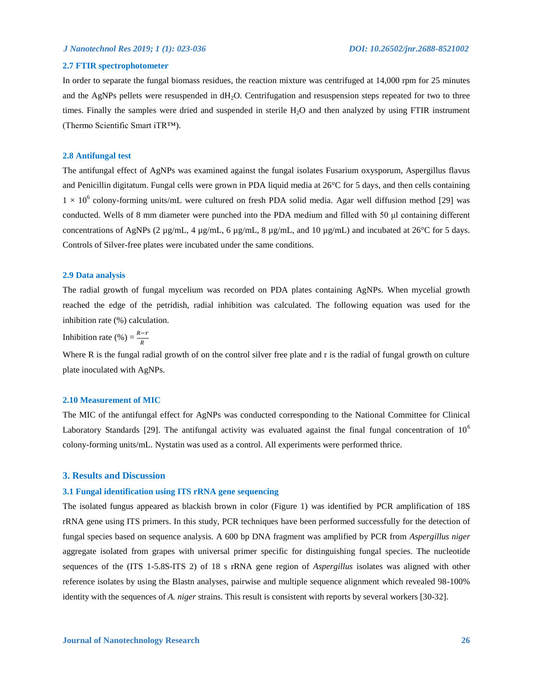# **2.7 FTIR spectrophotometer**

In order to separate the fungal biomass residues, the reaction mixture was centrifuged at 14,000 rpm for 25 minutes and the AgNPs pellets were resuspended in  $dH_2O$ . Centrifugation and resuspension steps repeated for two to three times. Finally the samples were dried and suspended in sterile H<sub>2</sub>O and then analyzed by using FTIR instrument (Thermo Scientific Smart iTR™).

#### **2.8 Antifungal test**

The antifungal effect of AgNPs was examined against the fungal isolates Fusarium oxysporum, Aspergillus flavus and Penicillin digitatum. Fungal cells were grown in PDA liquid media at 26°C for 5 days, and then cells containing  $1 \times 10^6$  colony-forming units/mL were cultured on fresh PDA solid media. Agar well diffusion method [29] was conducted. Wells of 8 mm diameter were punched into the PDA medium and filled with 50 μl containing different concentrations of AgNPs (2 µg/mL, 4 µg/mL, 6 µg/mL, 8 µg/mL, and 10 µg/mL) and incubated at 26°C for 5 days. Controls of Silver-free plates were incubated under the same conditions.

#### **2.9 Data analysis**

The radial growth of fungal mycelium was recorded on PDA plates containing AgNPs. When mycelial growth reached the edge of the petridish, radial inhibition was calculated. The following equation was used for the inhibition rate (%) calculation.

Inhibition rate (%) =  $\frac{R-r}{R}$ 

Where R is the fungal radial growth of on the control silver free plate and r is the radial of fungal growth on culture plate inoculated with AgNPs.

#### **2.10 Measurement of MIC**

The MIC of the antifungal effect for AgNPs was conducted corresponding to the National Committee for Clinical Laboratory Standards [29]. The antifungal activity was evaluated against the final fungal concentration of  $10<sup>6</sup>$ colony-forming units/mL. Nystatin was used as a control. All experiments were performed thrice.

### **3. Results and Discussion**

#### **3.1 Fungal identification using ITS rRNA gene sequencing**

The isolated fungus appeared as blackish brown in color (Figure 1) was identified by PCR amplification of 18S rRNA gene using ITS primers. In this study, PCR techniques have been performed successfully for the detection of fungal species based on sequence analysis. A 600 bp DNA fragment was amplified by PCR from *Aspergillus niger* aggregate isolated from grapes with universal primer specific for distinguishing fungal species. The nucleotide sequences of the (ITS 1-5.8S-ITS 2) of 18 s rRNA gene region of *Aspergillus* isolates was aligned with other reference isolates by using the Blastn analyses, pairwise and multiple sequence alignment which revealed 98-100% identity with the sequences of *A. niger* strains. This result is consistent with reports by several workers [30-32].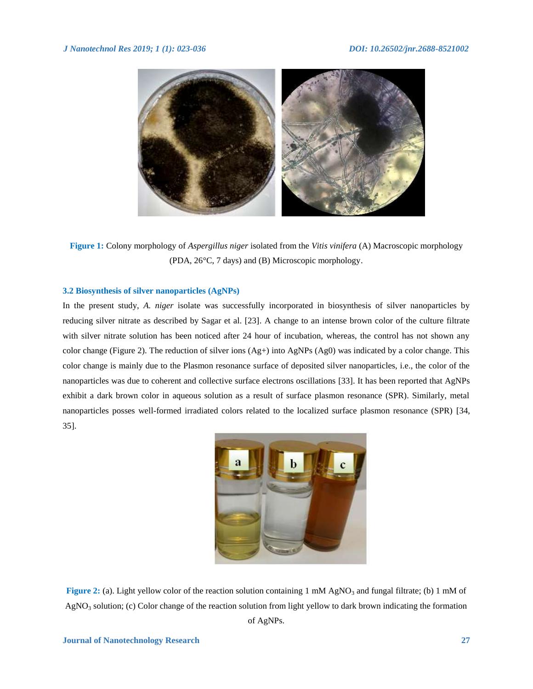

**Figure 1:** Colony morphology of *Aspergillus niger* isolated from the *[Vitis vinifera](https://www.britannica.com/plant/European-wine-grape)* (A) Macroscopic morphology (PDA, 26°C, 7 days) and (B) Microscopic morphology.

#### **3.2 Biosynthesis of silver nanoparticles (AgNPs)**

In the present study, *A. niger* isolate was successfully incorporated in biosynthesis of silver nanoparticles by reducing silver nitrate as described by Sagar et al. [23]. A change to an intense brown color of the culture filtrate with silver nitrate solution has been noticed after 24 hour of incubation, whereas, the control has not shown any color change (Figure 2). The reduction of silver ions  $(Ag+)$  into AgNPs  $(Ag0)$  was indicated by a color change. This color change is mainly due to the Plasmon resonance surface of deposited silver nanoparticles, i.e., the color of the nanoparticles was due to coherent and collective surface electrons oscillations [33]. It has been reported that AgNPs exhibit a dark brown color in aqueous solution as a result of surface plasmon resonance (SPR). Similarly, metal nanoparticles posses well-formed irradiated colors related to the localized surface plasmon resonance (SPR) [34, 35].



**Figure 2:** (a). Light yellow color of the reaction solution containing 1 mM AgNO<sub>3</sub> and fungal filtrate; (b) 1 mM of  $AgNO<sub>3</sub>$  solution; (c) Color change of the reaction solution from light yellow to dark brown indicating the formation of AgNPs.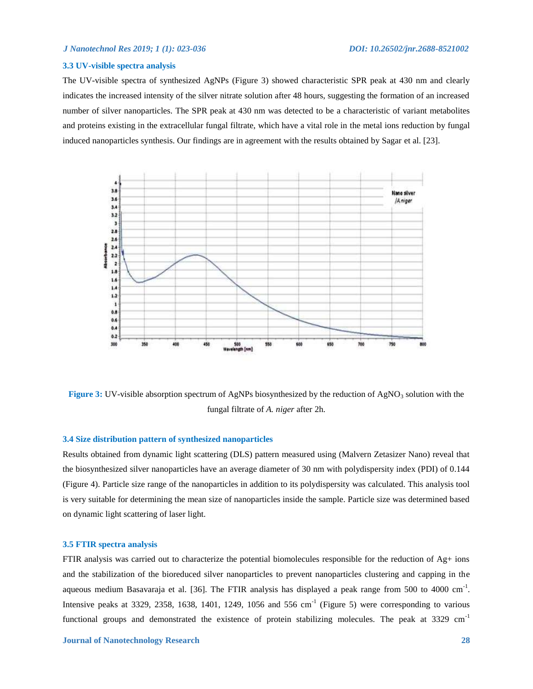### **3.3 UV-visible spectra analysis**

The UV-visible spectra of synthesized AgNPs (Figure 3) showed characteristic SPR peak at 430 nm and clearly indicates the increased intensity of the silver nitrate solution after 48 hours, suggesting the formation of an increased number of silver nanoparticles. The SPR peak at 430 nm was detected to be a characteristic of variant metabolites and proteins existing in the extracellular fungal filtrate, which have a vital role in the metal ions reduction by fungal induced nanoparticles synthesis. Our findings are in agreement with the results obtained by Sagar et al. [23].



**Figure 3:** UV-visible absorption spectrum of AgNPs biosynthesized by the reduction of AgNO<sub>3</sub> solution with the fungal filtrate of *A. niger* after 2h.

### **3.4 Size distribution pattern of synthesized nanoparticles**

Results obtained from dynamic light scattering (DLS) pattern measured using (Malvern Zetasizer Nano) reveal that the biosynthesized silver nanoparticles have an average diameter of 30 nm with polydispersity index (PDI) of 0.144 (Figure 4). Particle size range of the nanoparticles in addition to its polydispersity was calculated. This analysis tool is very suitable for determining the mean size of nanoparticles inside the sample. Particle size was determined based on dynamic light scattering of laser light.

# **3.5 FTIR spectra analysis**

FTIR analysis was carried out to characterize the potential biomolecules responsible for the reduction of Ag+ ions and the stabilization of the bioreduced silver nanoparticles to prevent nanoparticles clustering and capping in the aqueous medium Basavaraja et al. [36]. The FTIR analysis has displayed a peak range from 500 to 4000 cm<sup>-1</sup>. Intensive peaks at 3329, 2358, 1638, 1401, 1249, 1056 and 556 cm<sup>-1</sup> (Figure 5) were corresponding to various functional groups and demonstrated the existence of protein stabilizing molecules. The peak at 3329 cm<sup>-1</sup>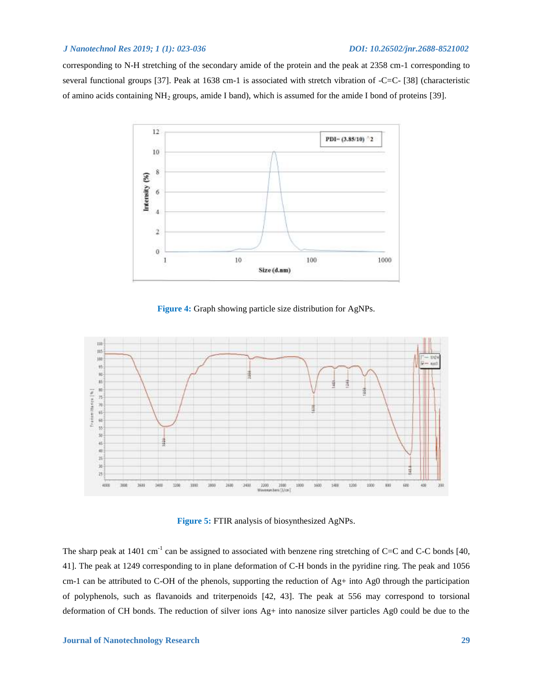corresponding to N-H stretching of the secondary amide of the protein and the peak at 2358 cm-1 corresponding to several functional groups [37]. Peak at 1638 cm-1 is associated with stretch vibration of -C=C- [38] (characteristic of amino acids containing NH<sub>2</sub> groups, amide I band), which is assumed for the amide I bond of proteins [39].



**Figure 4:** Graph showing particle size distribution for AgNPs.



**Figure 5:** FTIR analysis of biosynthesized AgNPs.

The sharp peak at 1401 cm<sup>-1</sup> can be assigned to associated with benzene ring stretching of C=C and C-C bonds [40, 41]. The peak at 1249 corresponding to in plane deformation of C-H bonds in the pyridine ring. The peak and 1056 cm-1 can be attributed to C-OH of the phenols, supporting the reduction of Ag+ into Ag0 through the participation of polyphenols, such as flavanoids and triterpenoids [42, 43]. The peak at 556 may correspond to torsional deformation of CH bonds. The reduction of silver ions Ag+ into nanosize silver particles Ag0 could be due to the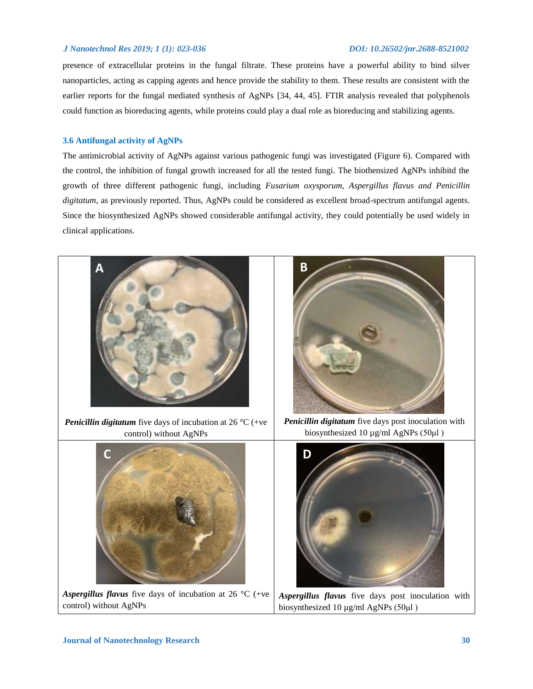presence of extracellular proteins in the fungal filtrate. These proteins have a powerful ability to bind silver nanoparticles, acting as capping agents and hence provide the stability to them. These results are consistent with the earlier reports for the fungal mediated synthesis of AgNPs [34, 44, 45]. FTIR analysis revealed that polyphenols could function as bioreducing agents, while proteins could play a dual role as bioreducing and stabilizing agents.

# **3.6 Antifungal activity of AgNPs**

The antimicrobial activity of AgNPs against various pathogenic fungi was investigated (Figure 6). Compared with the control, the inhibition of fungal growth increased for all the tested fungi. The biothensized AgNPs inhibitd the growth of three different pathogenic fungi, including *Fusarium oxysporum, Aspergillus flavus and Penicillin digitatum*, as previously reported. Thus, AgNPs could be considered as excellent broad-spectrum antifungal agents. Since the biosynthesized AgNPs showed considerable antifungal activity, they could potentially be used widely in clinical applications.

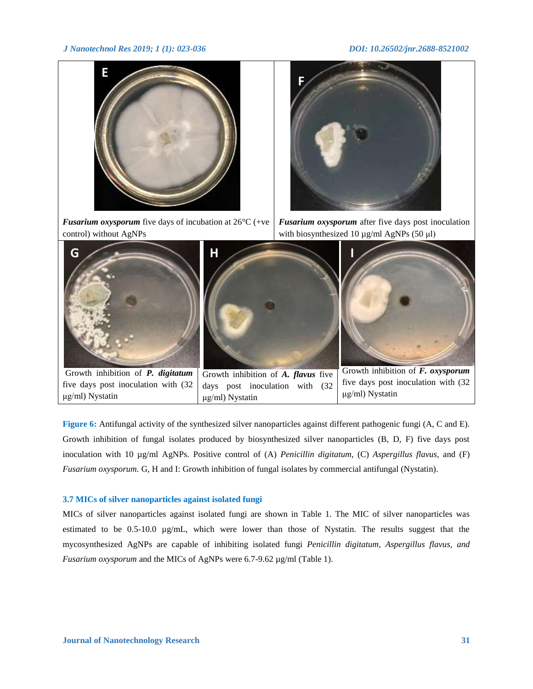

**Figure 6:** Antifungal activity of the synthesized silver nanoparticles against different pathogenic fungi (A, C and E). Growth inhibition of fungal isolates produced by biosynthesized silver nanoparticles (B, D, F) five days post inoculation with 10 µg/ml AgNPs. Positive control of (A) *Penicillin digitatum*, (C) *[Aspergillus](https://www.google.com/url?sa=i&source=images&cd=&cad=rja&uact=8&ved=0ahUKEwjzkqzJiILiAhX8BWMBHTk6C6MQMwhqKAMwAw&url=https%3A%2F%2Fwww.bustmold.com%2Fresources%2Fmold-library%2Faspergillus-flavus%2F&psig=AOvVaw16Rp-XW6hHdtqAM756AywF&ust=1557065885909857&ictx=3&uact=3) flavus*, and (F) *Fusarium oxysporum.* G, H and I: Growth inhibition of fungal isolates by commercial antifungal (Nystatin).

# **3.7 MICs of silver nanoparticles against isolated fungi**

MICs of silver nanoparticles against isolated fungi are shown in Table 1. The MIC of silver nanoparticles was estimated to be 0.5-10.0 µg/mL, which were lower than those of Nystatin. The results suggest that the mycosynthesized AgNPs are capable of inhibiting isolated fungi *Penicillin digitatum, Aspergillus flavus, and Fusarium oxysporum* and the MICs of AgNPs were 6.7-9.62 µg/ml (Table 1).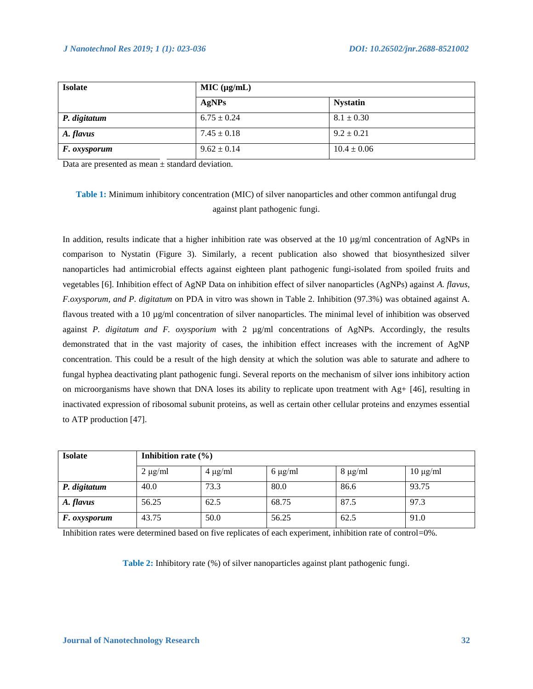| <b>Isolate</b>      | MIC (µg/mL)     |                 |  |  |
|---------------------|-----------------|-----------------|--|--|
|                     | AgNPs           | <b>Nystatin</b> |  |  |
| P. digitatum        | $6.75 \pm 0.24$ | $8.1 \pm 0.30$  |  |  |
| A. flavus           | $7.45 \pm 0.18$ | $9.2 \pm 0.21$  |  |  |
| <i>F. oxysporum</i> | $9.62 \pm 0.14$ | $10.4 \pm 0.06$ |  |  |

Data are presented as mean ± standard deviation.

# **Table 1:** Minimum inhibitory concentration (MIC) of silver nanoparticles and other common antifungal drug against plant pathogenic fungi.

In addition, results indicate that a higher inhibition rate was observed at the 10 µg/ml concentration of AgNPs in comparison to Nystatin (Figure 3). Similarly, a recent publication also showed that biosynthesized silver nanoparticles had antimicrobial effects against eighteen plant pathogenic fungi-isolated from spoiled fruits and vegetables [6]. Inhibition effect of AgNP Data on inhibition effect of silver nanoparticles (AgNPs) against *A. flavus, F.oxysporum, and P. digitatum* on PDA in vitro was shown in Table 2. Inhibition (97.3%) was obtained against A. flavous treated with a 10 µg/ml concentration of silver nanoparticles. The minimal level of inhibition was observed against *P. digitatum and F. oxysporium* with 2 µg/ml concentrations of AgNPs. Accordingly, the results demonstrated that in the vast majority of cases, the inhibition effect increases with the increment of AgNP concentration. This could be a result of the high density at which the solution was able to saturate and adhere to fungal hyphea deactivating plant pathogenic fungi. Several reports on the mechanism of silver ions inhibitory action on microorganisms have shown that DNA loses its ability to replicate upon treatment with Ag+ [46], resulting in inactivated expression of ribosomal subunit proteins, as well as certain other cellular proteins and enzymes essential to ATP production [47].

| <b>Isolate</b> | Inhibition rate $(\% )$ |              |              |              |               |  |
|----------------|-------------------------|--------------|--------------|--------------|---------------|--|
|                | $2 \mu g/ml$            | $4 \mu g/ml$ | $6 \mu g/ml$ | $8 \mu g/ml$ | $10 \mu g/ml$ |  |
| P. digitatum   | 40.0                    | 73.3         | 80.0         | 86.6         | 93.75         |  |
| A. flavus      | 56.25                   | 62.5         | 68.75        | 87.5         | 97.3          |  |
| F. oxysporum   | 43.75                   | 50.0         | 56.25        | 62.5         | 91.0          |  |

Inhibition rates were determined based on five replicates of each experiment, inhibition rate of control=0%.

**Table 2:** Inhibitory rate (%) of silver nanoparticles against plant pathogenic fungi.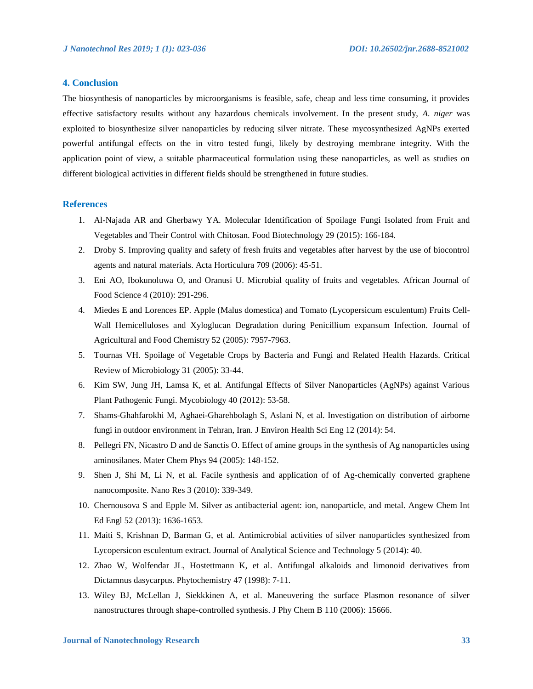# **4. Conclusion**

The biosynthesis of nanoparticles by microorganisms is feasible, safe, cheap and less time consuming, it provides effective satisfactory results without any hazardous chemicals involvement. In the present study, *A. niger* was exploited to biosynthesize silver nanoparticles by reducing silver nitrate. These mycosynthesized AgNPs exerted powerful antifungal effects on the in vitro tested fungi, likely by destroying membrane integrity. With the application point of view, a suitable pharmaceutical formulation using these nanoparticles, as well as studies on different biological activities in different fields should be strengthened in future studies.

#### **References**

- 1. Al-Najada AR and Gherbawy YA. Molecular Identification of Spoilage Fungi Isolated from Fruit and Vegetables and Their Control with Chitosan. Food Biotechnology 29 (2015): 166-184.
- 2. Droby S. Improving quality and safety of fresh fruits and vegetables after harvest by the use of biocontrol agents and natural materials. Acta Horticulura 709 (2006): 45-51.
- 3. Eni AO, Ibokunoluwa O, and Oranusi U. Microbial quality of fruits and vegetables. African Journal of Food Science 4 (2010): 291-296.
- 4. Miedes E and Lorences EP. Apple (Malus domestica) and Tomato (Lycopersicum esculentum) Fruits Cell-Wall Hemicelluloses and Xyloglucan Degradation during Penicillium expansum Infection. Journal of Agricultural and Food Chemistry 52 (2005): 7957-7963.
- 5. Tournas VH. Spoilage of Vegetable Crops by Bacteria and Fungi and Related Health Hazards. Critical Review of Microbiology 31 (2005): 33-44.
- 6. Kim SW, Jung JH, Lamsa K, et al. Antifungal Effects of Silver Nanoparticles (AgNPs) against Various Plant Pathogenic Fungi. Mycobiology 40 (2012): 53-58.
- 7. Shams-Ghahfarokhi M, Aghaei-Gharehbolagh S, Aslani N, et al. Investigation on distribution of airborne fungi in outdoor environment in Tehran, Iran. J Environ Health Sci Eng 12 (2014): 54.
- 8. Pellegri FN, Nicastro D and de Sanctis O. Effect of amine groups in the synthesis of Ag nanoparticles using aminosilanes. Mater Chem Phys 94 (2005): 148-152.
- 9. Shen J, Shi M, Li N, et al. Facile synthesis and application of of Ag-chemically converted graphene nanocomposite. Nano Res 3 (2010): 339-349.
- 10. Chernousova S and Epple M. Silver as antibacterial agent: ion, nanoparticle, and metal. Angew Chem Int Ed Engl 52 (2013): 1636-1653.
- 11. Maiti S, Krishnan D, Barman G, et al. Antimicrobial activities of silver nanoparticles synthesized from Lycopersicon esculentum extract. Journal of Analytical Science and Technology 5 (2014): 40.
- 12. Zhao W, Wolfendar JL, Hostettmann K, et al. Antifungal alkaloids and limonoid derivatives from Dictamnus dasycarpus. Phytochemistry 47 (1998): 7-11.
- 13. Wiley BJ, McLellan J, Siekkkinen A, et al. Maneuvering the surface Plasmon resonance of silver nanostructures through shape-controlled synthesis. J Phy Chem B 110 (2006): 15666.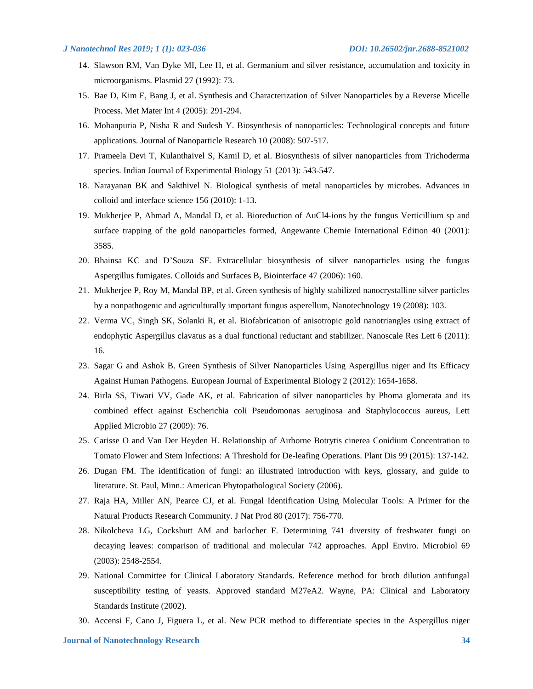- 14. Slawson RM, Van Dyke MI, Lee H, et al. Germanium and silver resistance, accumulation and toxicity in microorganisms. Plasmid 27 (1992): 73.
- 15. Bae D, Kim E, Bang J, et al. Synthesis and Characterization of Silver Nanoparticles by a Reverse Micelle Process. Met Mater Int 4 (2005): 291-294.
- 16. Mohanpuria P, Nisha R and Sudesh Y. Biosynthesis of nanoparticles: Technological concepts and future applications. Journal of Nanoparticle Research 10 (2008): 507-517.
- 17. Prameela Devi T, Kulanthaivel S, Kamil D, et al. Biosynthesis of silver nanoparticles from Trichoderma species. Indian Journal of Experimental Biology 51 (2013): 543-547.
- 18. Narayanan BK and Sakthivel N. Biological synthesis of metal nanoparticles by microbes. Advances in colloid and interface science 156 (2010): 1-13.
- 19. Mukherjee P, Ahmad A, Mandal D, et al. Bioreduction of AuCl4-ions by the fungus Verticillium sp and surface trapping of the gold nanoparticles formed, Angewante Chemie International Edition 40 (2001): 3585.
- 20. Bhainsa KC and D'Souza SF. Extracellular biosynthesis of silver nanoparticles using the fungus Aspergillus fumigates. Colloids and Surfaces B, Biointerface 47 (2006): 160.
- 21. Mukherjee P, Roy M, Mandal BP, et al. Green synthesis of highly stabilized nanocrystalline silver particles by a nonpathogenic and agriculturally important fungus asperellum, Nanotechnology 19 (2008): 103.
- 22. Verma VC, Singh SK, Solanki R, et al. Biofabrication of anisotropic gold nanotriangles using extract of endophytic Aspergillus clavatus as a dual functional reductant and stabilizer. Nanoscale Res Lett 6 (2011): 16.
- 23. Sagar G and Ashok B. Green Synthesis of Silver Nanoparticles Using Aspergillus niger and Its Efficacy Against Human Pathogens. European Journal of Experimental Biology 2 (2012): 1654-1658.
- 24. Birla SS, Tiwari VV, Gade AK, et al. Fabrication of silver nanoparticles by Phoma glomerata and its combined effect against Escherichia coli Pseudomonas aeruginosa and Staphylococcus aureus, Lett Applied Microbio 27 (2009): 76.
- 25. Carisse O and Van Der Heyden H. Relationship of Airborne Botrytis cinerea Conidium Concentration to Tomato Flower and Stem Infections: A Threshold for De-leafing Operations. Plant Dis 99 (2015): 137-142.
- 26. Dugan FM. The identification of fungi: an illustrated introduction with keys, glossary, and guide to literature. St. Paul, Minn.: American Phytopathological Society (2006).
- 27. Raja HA, Miller AN, Pearce CJ, et al. Fungal Identification Using Molecular Tools: A Primer for the Natural Products Research Community. J Nat Prod 80 (2017): 756-770.
- 28. Nikolcheva LG, Cockshutt AM and barlocher F. Determining 741 diversity of freshwater fungi on decaying leaves: comparison of traditional and molecular 742 approaches. Appl Enviro. Microbiol 69 (2003): 2548-2554.
- 29. National Committee for Clinical Laboratory Standards. Reference method for broth dilution antifungal susceptibility testing of yeasts. Approved standard M27eA2. Wayne, PA: Clinical and Laboratory Standards Institute (2002).
- 30. Accensi F, Cano J, Figuera L, et al. New PCR method to differentiate species in the Aspergillus niger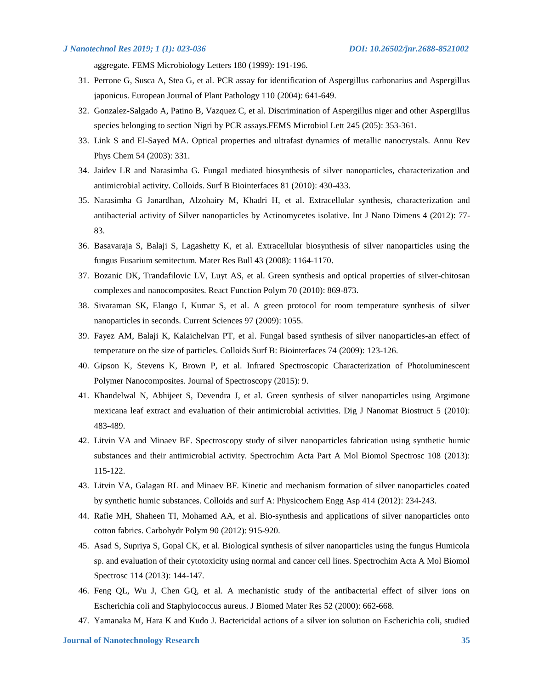aggregate. FEMS Microbiology Letters 180 (1999): 191-196.

- 31. Perrone G, Susca A, Stea G, et al. PCR assay for identification of Aspergillus carbonarius and Aspergillus japonicus. European Journal of Plant Pathology 110 (2004): 641-649.
- 32. Gonzalez-Salgado A, Patino B, Vazquez C, et al. Discrimination of Aspergillus niger and other Aspergillus species belonging to section Nigri by PCR assays.FEMS Microbiol Lett 245 (205): 353-361.
- 33. Link S and El-Sayed MA. Optical properties and ultrafast dynamics of metallic nanocrystals. Annu Rev Phys Chem 54 (2003): 331.
- 34. Jaidev LR and Narasimha G. Fungal mediated biosynthesis of silver nanoparticles, characterization and antimicrobial activity. Colloids. Surf B Biointerfaces 81 (2010): 430-433.
- 35. Narasimha G Janardhan, Alzohairy M, Khadri H, et al. Extracellular synthesis, characterization and antibacterial activity of Silver nanoparticles by Actinomycetes isolative. Int J Nano Dimens 4 (2012): 77- 83.
- 36. Basavaraja S, Balaji S, Lagashetty K, et al. Extracellular biosynthesis of silver nanoparticles using the fungus Fusarium semitectum. Mater Res Bull 43 (2008): 1164-1170.
- 37. Bozanic DK, Trandafilovic LV, Luyt AS, et al. Green synthesis and optical properties of silver-chitosan complexes and nanocomposites. React Function Polym 70 (2010): 869-873.
- 38. Sivaraman SK, Elango I, Kumar S, et al. A green protocol for room temperature synthesis of silver nanoparticles in seconds. Current Sciences 97 (2009): 1055.
- 39. Fayez AM, Balaji K, Kalaichelvan PT, et al. Fungal based synthesis of silver nanoparticles-an effect of temperature on the size of particles. Colloids Surf B: Biointerfaces 74 (2009): 123-126.
- 40. Gipson K, Stevens K, Brown P, et al. Infrared Spectroscopic Characterization of Photoluminescent Polymer Nanocomposites. Journal of Spectroscopy (2015): 9.
- 41. Khandelwal N, Abhijeet S, Devendra J, et al. Green synthesis of silver nanoparticles using Argimone mexicana leaf extract and evaluation of their antimicrobial activities. Dig J Nanomat Biostruct 5 (2010): 483-489.
- 42. Litvin VA and Minaev BF. Spectroscopy study of silver nanoparticles fabrication using synthetic humic substances and their antimicrobial activity. Spectrochim Acta Part A Mol Biomol Spectrosc 108 (2013): 115-122.
- 43. Litvin VA, Galagan RL and Minaev BF. Kinetic and mechanism formation of silver nanoparticles coated by synthetic humic substances. Colloids and surf A: Physicochem Engg Asp 414 (2012): 234-243.
- 44. Rafie MH, Shaheen TI, Mohamed AA, et al. Bio-synthesis and applications of silver nanoparticles onto cotton fabrics. Carbohydr Polym 90 (2012): 915-920.
- 45. Asad S, Supriya S, Gopal CK, et al. Biological synthesis of silver nanoparticles using the fungus Humicola sp. and evaluation of their cytotoxicity using normal and cancer cell lines. Spectrochim Acta A Mol Biomol Spectrosc 114 (2013): 144-147.
- 46. Feng QL, Wu J, Chen GQ, et al. A mechanistic study of the antibacterial effect of silver ions on Escherichia coli and Staphylococcus aureus. J Biomed Mater Res 52 (2000): 662-668.
- 47. Yamanaka M, Hara K and Kudo J. Bactericidal actions of a silver ion solution on Escherichia coli, studied